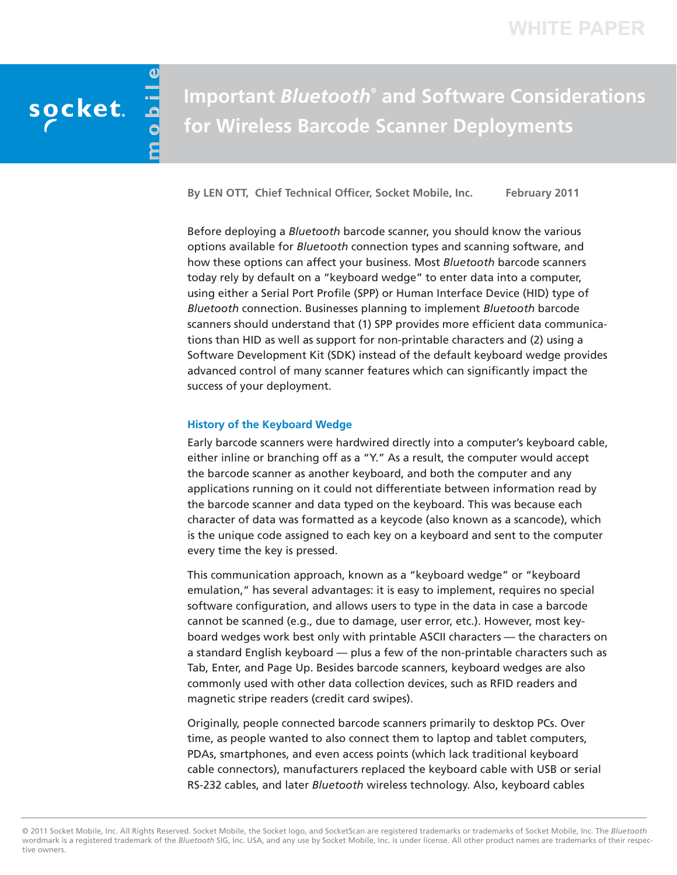# socket.

# **Important** *Bluetooth®* **and Software Considerations for Wireless Barcode Scanner Deployments**

**By LEN OTT, Chief Technical Officer, Socket Mobile, Inc. February 2011**

Before deploying a *Bluetooth* barcode scanner, you should know the various options available for *Bluetooth* connection types and scanning software, and how these options can affect your business. Most *Bluetooth* barcode scanners today rely by default on a "keyboard wedge" to enter data into a computer, using either a Serial Port Profile (SPP) or Human Interface Device (HID) type of *Bluetooth* connection. Businesses planning to implement *Bluetooth* barcode scanners should understand that (1) SPP provides more efficient data communications than HID as well as support for non-printable characters and (2) using a Software Development Kit (SDK) instead of the default keyboard wedge provides advanced control of many scanner features which can significantly impact the success of your deployment.

#### **History of the Keyboard Wedge**

Early barcode scanners were hardwired directly into a computer's keyboard cable, either inline or branching off as a "Y." As a result, the computer would accept the barcode scanner as another keyboard, and both the computer and any applications running on it could not differentiate between information read by the barcode scanner and data typed on the keyboard. This was because each character of data was formatted as a keycode (also known as a scancode), which is the unique code assigned to each key on a keyboard and sent to the computer every time the key is pressed.

This communication approach, known as a "keyboard wedge" or "keyboard emulation," has several advantages: it is easy to implement, requires no special software configuration, and allows users to type in the data in case a barcode cannot be scanned (e.g., due to damage, user error, etc.). However, most keyboard wedges work best only with printable ASCII characters — the characters on a standard English keyboard — plus a few of the non-printable characters such as Tab, Enter, and Page Up. Besides barcode scanners, keyboard wedges are also commonly used with other data collection devices, such as RFID readers and magnetic stripe readers (credit card swipes).

Originally, people connected barcode scanners primarily to desktop PCs. Over time, as people wanted to also connect them to laptop and tablet computers, PDAs, smartphones, and even access points (which lack traditional keyboard cable connectors), manufacturers replaced the keyboard cable with USB or serial RS-232 cables, and later *Bluetooth* wireless technology. Also, keyboard cables

© 2011 Socket Mobile, Inc. All Rights Reserved. Socket Mobile, the Socket logo, and SocketScan are registered trademarks or trademarks of Socket Mobile, Inc. The *Bluetooth* wordmark is a registered trademark of the *Bluetooth* SIG, Inc. USA, and any use by Socket Mobile, Inc. is under license. All other product names are trademarks of their respective owners.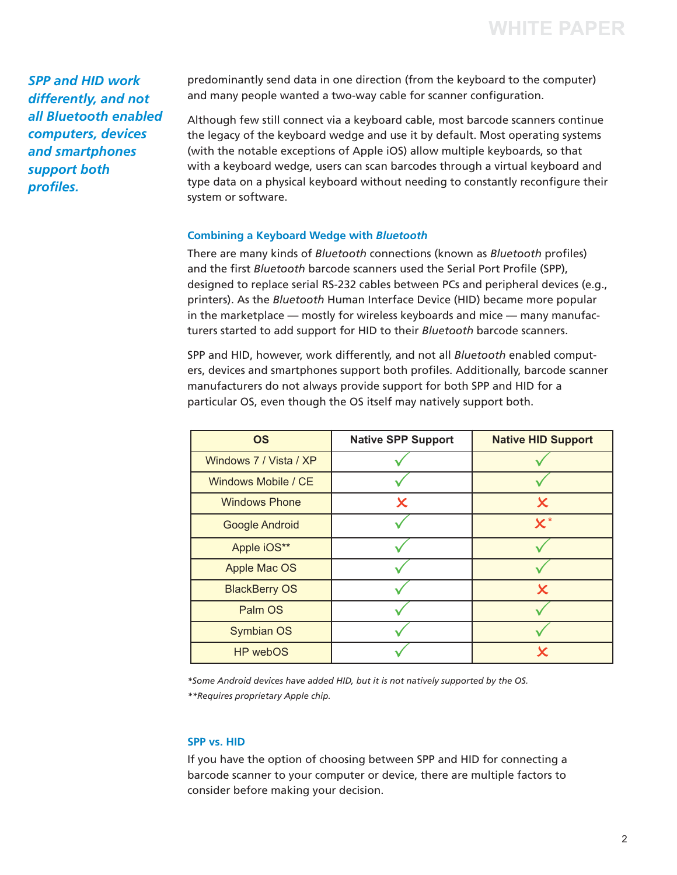*SPP and HID work differently, and not all Bluetooth enabled computers, devices and smartphones support both profiles.*

predominantly send data in one direction (from the keyboard to the computer) and many people wanted a two-way cable for scanner configuration.

Although few still connect via a keyboard cable, most barcode scanners continue the legacy of the keyboard wedge and use it by default. Most operating systems (with the notable exceptions of Apple iOS) allow multiple keyboards, so that with a keyboard wedge, users can scan barcodes through a virtual keyboard and type data on a physical keyboard without needing to constantly reconfigure their system or software.

### **Combining a Keyboard Wedge with** *Bluetooth*

There are many kinds of *Bluetooth* connections (known as *Bluetooth* profiles) and the first *Bluetooth* barcode scanners used the Serial Port Profile (SPP), designed to replace serial RS-232 cables between PCs and peripheral devices (e.g., printers). As the *Bluetooth* Human Interface Device (HID) became more popular in the marketplace — mostly for wireless keyboards and mice — many manufacturers started to add support for HID to their *Bluetooth* barcode scanners.

SPP and HID, however, work differently, and not all *Bluetooth* enabled computers, devices and smartphones support both profiles. Additionally, barcode scanner manufacturers do not always provide support for both SPP and HID for a particular OS, even though the OS itself may natively support both.

| <b>OS</b>              | <b>Native SPP Support</b> | <b>Native HID Support</b> |  |
|------------------------|---------------------------|---------------------------|--|
| Windows 7 / Vista / XP |                           |                           |  |
| Windows Mobile / CE    |                           |                           |  |
| <b>Windows Phone</b>   | X                         | $\boldsymbol{\mathsf{x}}$ |  |
| <b>Google Android</b>  |                           | $\mathbf{x}^*$            |  |
| Apple iOS**            |                           |                           |  |
| Apple Mac OS           |                           |                           |  |
| <b>BlackBerry OS</b>   |                           | $\bm{\mathsf{x}}$         |  |
| Palm OS                |                           |                           |  |
| <b>Symbian OS</b>      |                           |                           |  |
| HP webOS               |                           | $\bm{\mathsf{x}}$         |  |

*\*Some Android devices have added HID, but it is not natively supported by the OS. \*\*Requires proprietary Apple chip.*

# **SPP vs. HID**

If you have the option of choosing between SPP and HID for connecting a barcode scanner to your computer or device, there are multiple factors to consider before making your decision.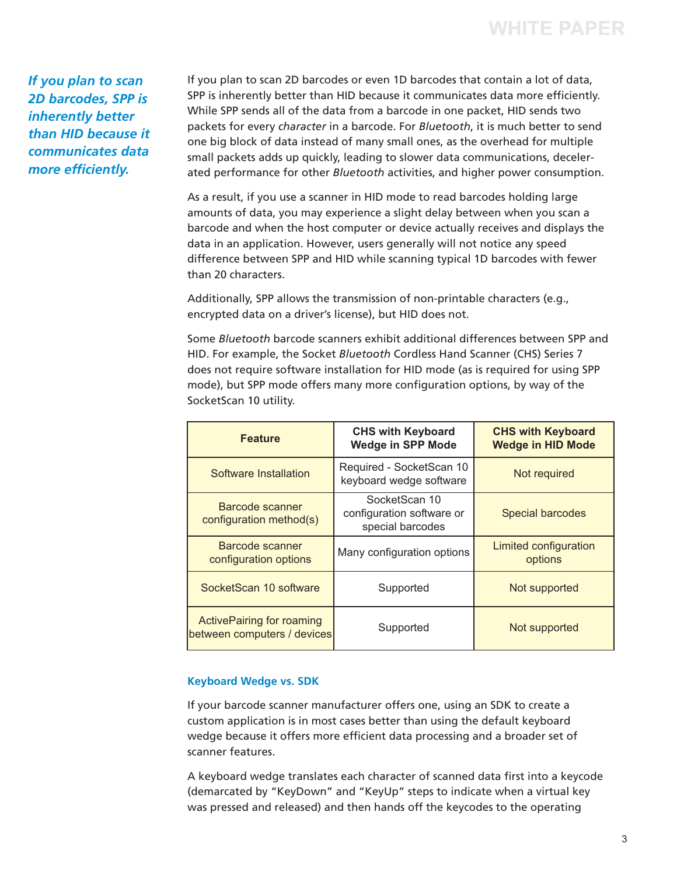*If you plan to scan 2D barcodes, SPP is inherently better than HID because it communicates data more efficiently.*

If you plan to scan 2D barcodes or even 1D barcodes that contain a lot of data, SPP is inherently better than HID because it communicates data more efficiently. While SPP sends all of the data from a barcode in one packet, HID sends two packets for every *character* in a barcode. For *Bluetooth*, it is much better to send one big block of data instead of many small ones, as the overhead for multiple small packets adds up quickly, leading to slower data communications, decelerated performance for other *Bluetooth* activities, and higher power consumption.

As a result, if you use a scanner in HID mode to read barcodes holding large amounts of data, you may experience a slight delay between when you scan a barcode and when the host computer or device actually receives and displays the data in an application. However, users generally will not notice any speed difference between SPP and HID while scanning typical 1D barcodes with fewer than 20 characters.

Additionally, SPP allows the transmission of non-printable characters (e.g., encrypted data on a driver's license), but HID does not.

Some *Bluetooth* barcode scanners exhibit additional differences between SPP and HID. For example, the Socket *Bluetooth* Cordless Hand Scanner (CHS) Series 7 does not require software installation for HID mode (as is required for using SPP mode), but SPP mode offers many more configuration options, by way of the SocketScan 10 utility.

| <b>Feature</b>                                                  | <b>CHS with Keyboard</b><br><b>Wedge in SPP Mode</b>           | <b>CHS with Keyboard</b><br><b>Wedge in HID Mode</b> |  |
|-----------------------------------------------------------------|----------------------------------------------------------------|------------------------------------------------------|--|
| Software Installation                                           | Required - SocketScan 10<br>keyboard wedge software            | Not required                                         |  |
| Barcode scanner<br>configuration method(s)                      | SocketScan 10<br>configuration software or<br>special barcodes | Special barcodes                                     |  |
| Barcode scanner<br>configuration options                        | Many configuration options                                     | Limited configuration<br>options                     |  |
| SocketScan 10 software                                          | Supported                                                      | Not supported                                        |  |
| <b>ActivePairing for roaming</b><br>between computers / devices | Supported                                                      | Not supported                                        |  |

# **Keyboard Wedge vs. SDK**

If your barcode scanner manufacturer offers one, using an SDK to create a custom application is in most cases better than using the default keyboard wedge because it offers more efficient data processing and a broader set of scanner features.

A keyboard wedge translates each character of scanned data first into a keycode (demarcated by "KeyDown" and "KeyUp" steps to indicate when a virtual key was pressed and released) and then hands off the keycodes to the operating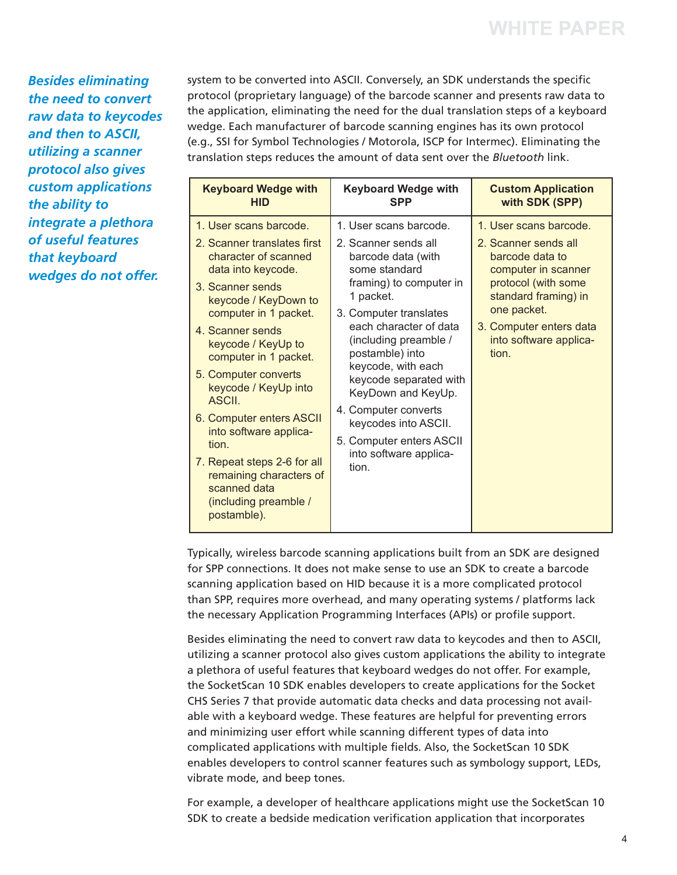*Besides eliminating the need to convert raw data to keycodes and then to ASCII, utilizing a scanner protocol also gives custom applications the ability to integrate a plethora of useful features that keyboard wedges do not offer.*

system to be converted into ASCII. Conversely, an SDK understands the specific protocol (proprietary language) of the barcode scanner and presents raw data to the application, eliminating the need for the dual translation steps of a keyboard wedge. Each manufacturer of barcode scanning engines has its own protocol (e.g., SSI for Symbol Technologies / Motorola, ISCP for Intermec). Eliminating the translation steps reduces the amount of data sent over the *Bluetooth* link.

| <b>Keyboard Wedge with</b>                                                                                                                                                                                                                                                                                                                                                                                                                                                                  | <b>Keyboard Wedge with</b>                                                                                                                                                                                                                                                                                                                                                                                         | <b>Custom Application</b>                                                                                                                                                                                            |
|---------------------------------------------------------------------------------------------------------------------------------------------------------------------------------------------------------------------------------------------------------------------------------------------------------------------------------------------------------------------------------------------------------------------------------------------------------------------------------------------|--------------------------------------------------------------------------------------------------------------------------------------------------------------------------------------------------------------------------------------------------------------------------------------------------------------------------------------------------------------------------------------------------------------------|----------------------------------------------------------------------------------------------------------------------------------------------------------------------------------------------------------------------|
| <b>HID</b>                                                                                                                                                                                                                                                                                                                                                                                                                                                                                  | <b>SPP</b>                                                                                                                                                                                                                                                                                                                                                                                                         | with SDK (SPP)                                                                                                                                                                                                       |
| 1. User scans barcode.<br>2. Scanner translates first<br>character of scanned<br>data into keycode.<br>3. Scanner sends<br>keycode / KeyDown to<br>computer in 1 packet.<br>4. Scanner sends<br>keycode / KeyUp to<br>computer in 1 packet.<br>5. Computer converts<br>keycode / KeyUp into<br><b>ASCIL</b><br>6. Computer enters ASCII<br>into software applica-<br>tion<br>7. Repeat steps 2-6 for all<br>remaining characters of<br>scanned data<br>(including preamble /<br>postamble). | 1. User scans barcode.<br>2. Scanner sends all<br>barcode data (with<br>some standard<br>framing) to computer in<br>1 packet.<br>3. Computer translates<br>each character of data<br>(including preamble /<br>postamble) into<br>keycode, with each<br>keycode separated with<br>KeyDown and KeyUp.<br>4. Computer converts<br>keycodes into ASCII.<br>5. Computer enters ASCII<br>into software applica-<br>tion. | 1. User scans barcode.<br>2. Scanner sends all<br>barcode data to<br>computer in scanner<br>protocol (with some<br>standard framing) in<br>one packet.<br>3. Computer enters data<br>into software applica-<br>tion. |

Typically, wireless barcode scanning applications built from an SDK are designed for SPP connections. It does not make sense to use an SDK to create a barcode scanning application based on HID because it is a more complicated protocol than SPP, requires more overhead, and many operating systems / platforms lack the necessary Application Programming Interfaces (APIs) or profile support.

Besides eliminating the need to convert raw data to keycodes and then to ASCII, utilizing a scanner protocol also gives custom applications the ability to integrate a plethora of useful features that keyboard wedges do not offer. For example, the SocketScan 10 SDK enables developers to create applications for the Socket CHS Series 7 that provide automatic data checks and data processing not available with a keyboard wedge. These features are helpful for preventing errors and minimizing user effort while scanning different types of data into complicated applications with multiple fields. Also, the SocketScan 10 SDK enables developers to control scanner features such as symbology support, LEDs, vibrate mode, and beep tones.

For example, a developer of healthcare applications might use the SocketScan 10 SDK to create a bedside medication verification application that incorporates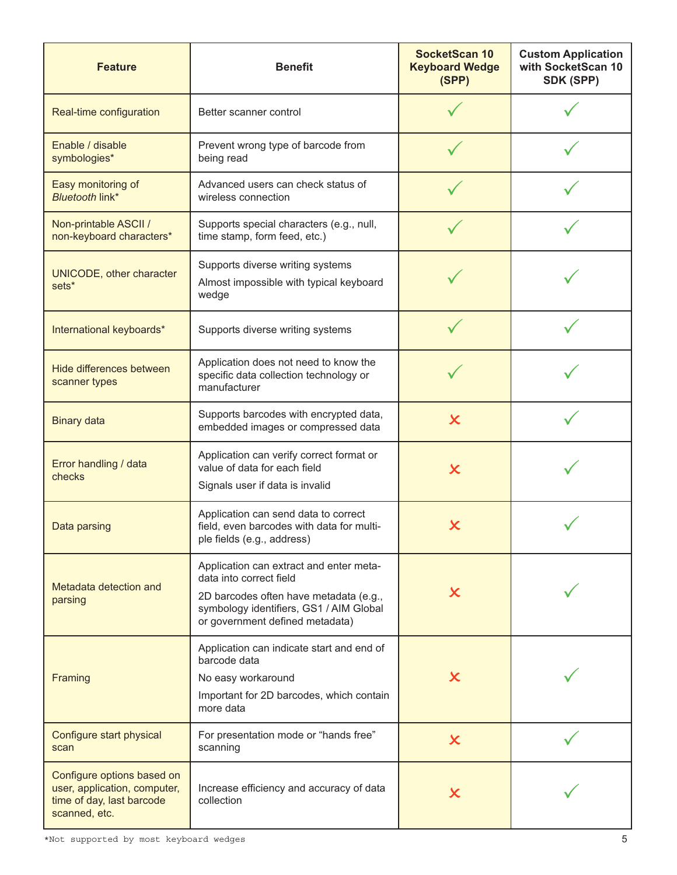| <b>Feature</b>                                                                                           | <b>Benefit</b>                                                                                                                                                                             | <b>SocketScan 10</b><br><b>Keyboard Wedge</b><br>(SPP) | <b>Custom Application</b><br>with SocketScan 10<br>SDK (SPP) |
|----------------------------------------------------------------------------------------------------------|--------------------------------------------------------------------------------------------------------------------------------------------------------------------------------------------|--------------------------------------------------------|--------------------------------------------------------------|
| Real-time configuration                                                                                  | Better scanner control                                                                                                                                                                     |                                                        |                                                              |
| Enable / disable<br>symbologies*                                                                         | Prevent wrong type of barcode from<br>being read                                                                                                                                           |                                                        |                                                              |
| Easy monitoring of<br><b>Bluetooth link*</b>                                                             | Advanced users can check status of<br>wireless connection                                                                                                                                  |                                                        |                                                              |
| Non-printable ASCII /<br>non-keyboard characters*                                                        | Supports special characters (e.g., null,<br>time stamp, form feed, etc.)                                                                                                                   |                                                        |                                                              |
| UNICODE, other character<br>sets*                                                                        | Supports diverse writing systems<br>Almost impossible with typical keyboard<br>wedge                                                                                                       |                                                        |                                                              |
| International keyboards*                                                                                 | Supports diverse writing systems                                                                                                                                                           |                                                        |                                                              |
| Hide differences between<br>scanner types                                                                | Application does not need to know the<br>specific data collection technology or<br>manufacturer                                                                                            |                                                        |                                                              |
| <b>Binary data</b>                                                                                       | Supports barcodes with encrypted data,<br>embedded images or compressed data                                                                                                               | $\boldsymbol{\mathsf{x}}$                              |                                                              |
| Error handling / data<br>checks                                                                          | Application can verify correct format or<br>value of data for each field<br>Signals user if data is invalid                                                                                | $\boldsymbol{\mathsf{x}}$                              |                                                              |
| Data parsing                                                                                             | Application can send data to correct<br>field, even barcodes with data for multi-<br>ple fields (e.g., address)                                                                            | X                                                      |                                                              |
| Metadata detection and<br>parsing                                                                        | Application can extract and enter meta-<br>data into correct field<br>2D barcodes often have metadata (e.g.,<br>symbology identifiers, GS1 / AIM Global<br>or government defined metadata) | X                                                      |                                                              |
| Framing                                                                                                  | Application can indicate start and end of<br>barcode data<br>No easy workaround<br>Important for 2D barcodes, which contain<br>more data                                                   | X                                                      |                                                              |
| Configure start physical<br>scan                                                                         | For presentation mode or "hands free"<br>scanning                                                                                                                                          | $\boldsymbol{\mathsf{x}}$                              |                                                              |
| Configure options based on<br>user, application, computer,<br>time of day, last barcode<br>scanned, etc. | Increase efficiency and accuracy of data<br>collection                                                                                                                                     | X                                                      |                                                              |